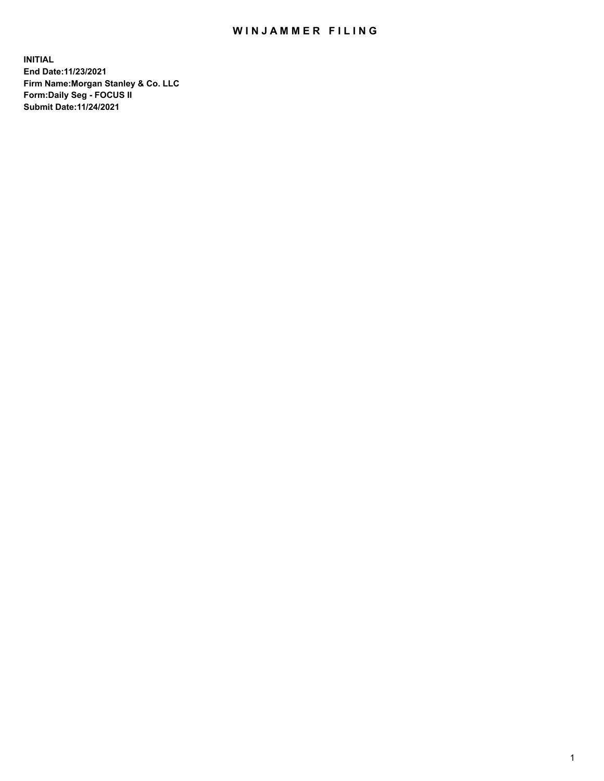## WIN JAMMER FILING

**INITIAL End Date:11/23/2021 Firm Name:Morgan Stanley & Co. LLC Form:Daily Seg - FOCUS II Submit Date:11/24/2021**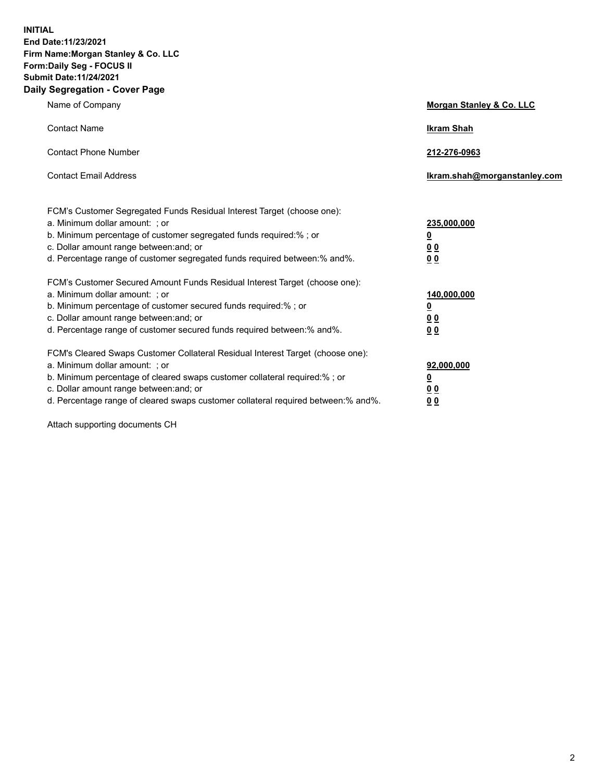**INITIAL End Date:11/23/2021 Firm Name:Morgan Stanley & Co. LLC Form:Daily Seg - FOCUS II Submit Date:11/24/2021 Daily Segregation - Cover Page**

| Name of Company                                                                                                                                                                                                                                                                                                                | <b>Morgan Stanley &amp; Co. LLC</b>                    |
|--------------------------------------------------------------------------------------------------------------------------------------------------------------------------------------------------------------------------------------------------------------------------------------------------------------------------------|--------------------------------------------------------|
| <b>Contact Name</b>                                                                                                                                                                                                                                                                                                            | <b>Ikram Shah</b>                                      |
| <b>Contact Phone Number</b>                                                                                                                                                                                                                                                                                                    | 212-276-0963                                           |
| <b>Contact Email Address</b>                                                                                                                                                                                                                                                                                                   | Ikram.shah@morganstanley.com                           |
| FCM's Customer Segregated Funds Residual Interest Target (choose one):<br>a. Minimum dollar amount: ; or<br>b. Minimum percentage of customer segregated funds required:% ; or<br>c. Dollar amount range between: and; or<br>d. Percentage range of customer segregated funds required between: % and %.                       | 235,000,000<br><u>0</u><br>00<br>0 Q                   |
| FCM's Customer Secured Amount Funds Residual Interest Target (choose one):<br>a. Minimum dollar amount: ; or<br>b. Minimum percentage of customer secured funds required:% ; or<br>c. Dollar amount range between: and; or<br>d. Percentage range of customer secured funds required between:% and%.                           | 140,000,000<br><u>0</u><br><u>00</u><br>0 <sub>0</sub> |
| FCM's Cleared Swaps Customer Collateral Residual Interest Target (choose one):<br>a. Minimum dollar amount: ; or<br>b. Minimum percentage of cleared swaps customer collateral required:% ; or<br>c. Dollar amount range between: and; or<br>d. Percentage range of cleared swaps customer collateral required between:% and%. | 92,000,000<br><u>0</u><br><u>00</u><br>0 <sub>0</sub>  |

Attach supporting documents CH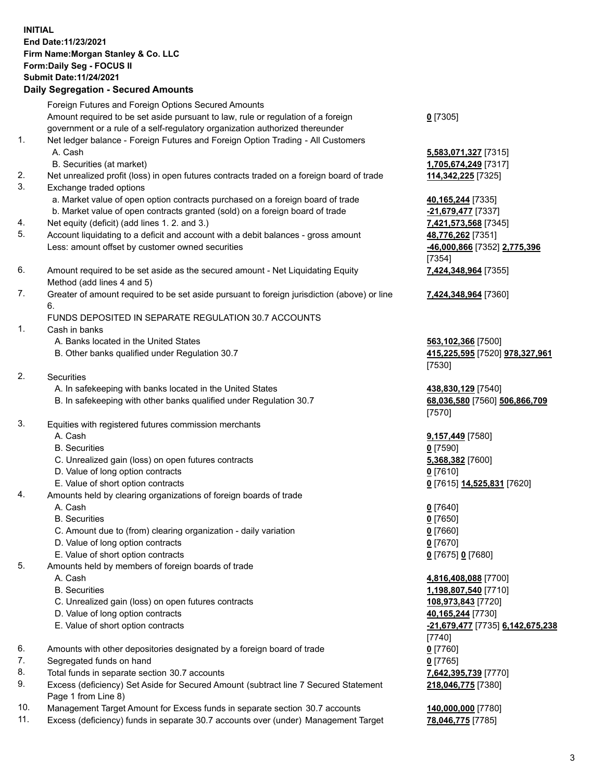## **INITIAL End Date:11/23/2021 Firm Name:Morgan Stanley & Co. LLC Form:Daily Seg - FOCUS II Submit Date:11/24/2021**

**Daily Segregation - Secured Amounts** Foreign Futures and Foreign Options Secured Amounts Amount required to be set aside pursuant to law, rule or regulation of a foreign government or a rule of a self-regulatory organization authorized thereunder 1. Net ledger balance - Foreign Futures and Foreign Option Trading - All Customers A. Cash **5,583,071,327** [7315] B. Securities (at market) **1,705,674,249** [7317] 2. Net unrealized profit (loss) in open futures contracts traded on a foreign board of trade **114,342,225** [7325] 3. Exchange traded options a. Market value of open option contracts purchased on a foreign board of trade **40,165,244** [7335] b. Market value of open contracts granted (sold) on a foreign board of trade **-21,679,477** [7337] 4. Net equity (deficit) (add lines 1. 2. and 3.) **7,421,573,568** [7345] 5. Account liquidating to a deficit and account with a debit balances - gross amount **48,776,262** [7351] Less: amount offset by customer owned securities **-46,000,866** [7352] **2,775,396** 6. Amount required to be set aside as the secured amount - Net Liquidating Equity Method (add lines 4 and 5) 7. Greater of amount required to be set aside pursuant to foreign jurisdiction (above) or line 6. FUNDS DEPOSITED IN SEPARATE REGULATION 30.7 ACCOUNTS 1. Cash in banks A. Banks located in the United States **563,102,366** [7500] B. Other banks qualified under Regulation 30.7 **415,225,595** [7520] **978,327,961** 2. Securities A. In safekeeping with banks located in the United States **438,830,129** [7540] B. In safekeeping with other banks qualified under Regulation 30.7 **68,036,580** [7560] **506,866,709** 3. Equities with registered futures commission merchants A. Cash **9,157,449** [7580] B. Securities **0** [7590] C. Unrealized gain (loss) on open futures contracts **5,368,382** [7600] D. Value of long option contracts **0** [7610] E. Value of short option contracts **0** [7615] **14,525,831** [7620] 4. Amounts held by clearing organizations of foreign boards of trade A. Cash **0** [7640] B. Securities **0** [7650] C. Amount due to (from) clearing organization - daily variation **0** [7660] D. Value of long option contracts **0** [7670] E. Value of short option contracts **0** [7675] **0** [7680] 5. Amounts held by members of foreign boards of trade A. Cash **4,816,408,088** [7700] B. Securities **1,198,807,540** [7710]

- C. Unrealized gain (loss) on open futures contracts **108,973,843** [7720]
- D. Value of long option contracts **40,165,244** [7730]
- 
- 6. Amounts with other depositories designated by a foreign board of trade **0** [7760]
- 7. Segregated funds on hand **0** [7765]
- 8. Total funds in separate section 30.7 accounts **7,642,395,739** [7770]
- 9. Excess (deficiency) Set Aside for Secured Amount (subtract line 7 Secured Statement Page 1 from Line 8)
- 10. Management Target Amount for Excess funds in separate section 30.7 accounts **140,000,000** [7780]
- 11. Excess (deficiency) funds in separate 30.7 accounts over (under) Management Target **78,046,775** [7785]

**0** [7305]

[7354] **7,424,348,964** [7355]

**7,424,348,964** [7360]

[7530]

[7570]

 E. Value of short option contracts **-21,679,477** [7735] **6,142,675,238** [7740] **218,046,775** [7380]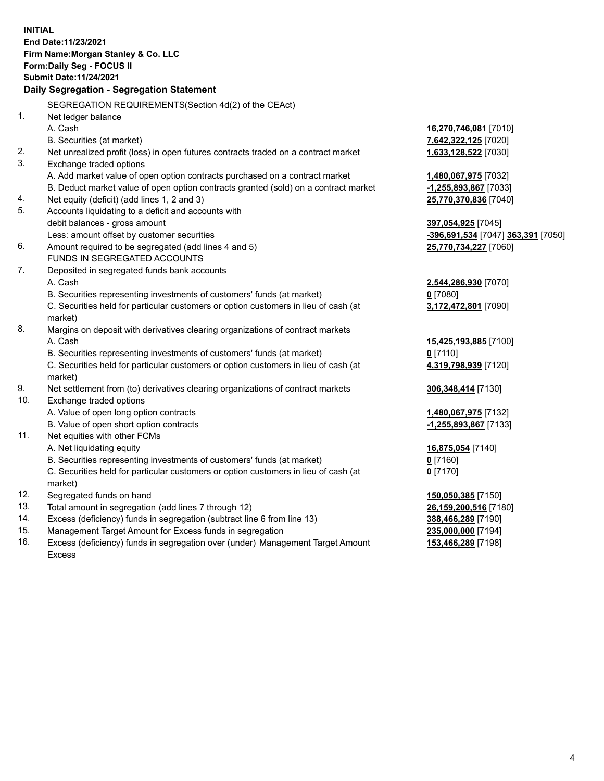**INITIAL End Date:11/23/2021 Firm Name:Morgan Stanley & Co. LLC Form:Daily Seg - FOCUS II Submit Date:11/24/2021 Daily Segregation - Segregation Statement** SEGREGATION REQUIREMENTS(Section 4d(2) of the CEAct) 1. Net ledger balance A. Cash **16,270,746,081** [7010] B. Securities (at market) **7,642,322,125** [7020] 2. Net unrealized profit (loss) in open futures contracts traded on a contract market **1,633,128,522** [7030] 3. Exchange traded options A. Add market value of open option contracts purchased on a contract market **1,480,067,975** [7032] B. Deduct market value of open option contracts granted (sold) on a contract market **-1,255,893,867** [7033] 4. Net equity (deficit) (add lines 1, 2 and 3) **25,770,370,836** [7040] 5. Accounts liquidating to a deficit and accounts with debit balances - gross amount **397,054,925** [7045] Less: amount offset by customer securities **-396,691,534** [7047] **363,391** [7050] 6. Amount required to be segregated (add lines 4 and 5) **25,770,734,227** [7060] FUNDS IN SEGREGATED ACCOUNTS 7. Deposited in segregated funds bank accounts A. Cash **2,544,286,930** [7070] B. Securities representing investments of customers' funds (at market) **0** [7080] C. Securities held for particular customers or option customers in lieu of cash (at market) **3,172,472,801** [7090] 8. Margins on deposit with derivatives clearing organizations of contract markets A. Cash **15,425,193,885** [7100] B. Securities representing investments of customers' funds (at market) **0** [7110] C. Securities held for particular customers or option customers in lieu of cash (at market) **4,319,798,939** [7120] 9. Net settlement from (to) derivatives clearing organizations of contract markets **306,348,414** [7130] 10. Exchange traded options A. Value of open long option contracts **1,480,067,975** [7132] B. Value of open short option contracts **-1,255,893,867** [7133] 11. Net equities with other FCMs A. Net liquidating equity **16,875,054** [7140] B. Securities representing investments of customers' funds (at market) **0** [7160] C. Securities held for particular customers or option customers in lieu of cash (at market) **0** [7170] 12. Segregated funds on hand **150,050,385** [7150] 13. Total amount in segregation (add lines 7 through 12) **26,159,200,516** [7180] 14. Excess (deficiency) funds in segregation (subtract line 6 from line 13) **388,466,289** [7190] 15. Management Target Amount for Excess funds in segregation **235,000,000** [7194] **153,466,289** [7198]

16. Excess (deficiency) funds in segregation over (under) Management Target Amount Excess